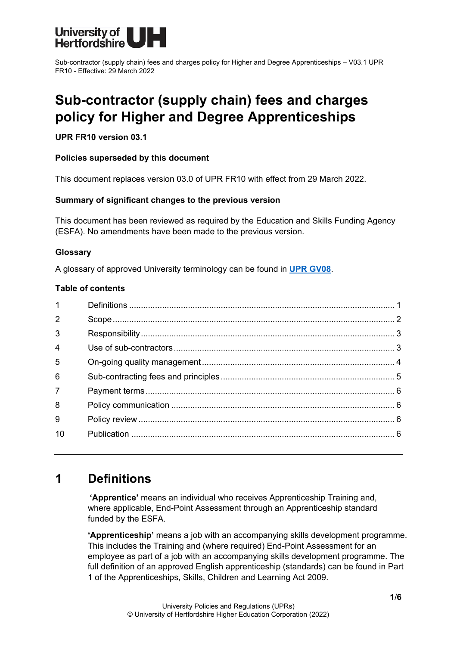

Sub-contractor (supply chain) fees and charges policy for Higher and Degree Apprenticeships – V03.1 UPR FR10 - Effective: 29 March 2022

# **Sub-contractor (supply chain) fees and charges policy for Higher and Degree Apprenticeships**

### **UPR FR10 version 03.1**

### **Policies superseded by this document**

This document replaces version 03.0 of UPR FR10 with effect from 29 March 2022.

### **Summary of significant changes to the previous version**

This document has been reviewed as required by the Education and Skills Funding Agency (ESFA). No amendments have been made to the previous version.

### **Glossary**

A glossary of approved University terminology can be found in **[UPR GV08](https://www.herts.ac.uk/__data/assets/pdf_file/0020/233057/GV08-Glossary-of-Terminology.pdf)**.

### **Table of contents**

| $\mathbf{1}$   |  |
|----------------|--|
| $\overline{2}$ |  |
| 3              |  |
| $\overline{4}$ |  |
| 5              |  |
| 6              |  |
| $\overline{7}$ |  |
| 8              |  |
| 9              |  |
| 10             |  |
|                |  |

# <span id="page-0-0"></span>**1 Definitions**

**'Apprentice'** means an individual who receives Apprenticeship Training and, where applicable, End-Point Assessment through an Apprenticeship standard funded by the ESFA.

**'Apprenticeship'** means a job with an accompanying skills development programme. This includes the Training and (where required) End-Point Assessment for an employee as part of a job with an accompanying skills development programme. The full definition of an approved English apprenticeship (standards) can be found in Part 1 of the Apprenticeships, Skills, Children and Learning Act 2009.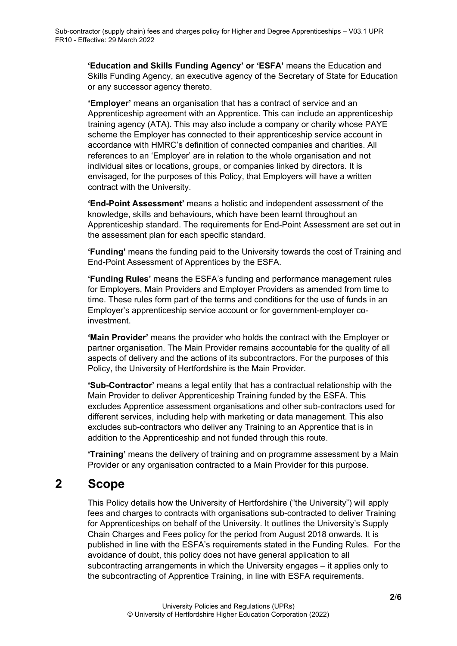**'Education and Skills Funding Agency' or 'ESFA'** means the Education and Skills Funding Agency, an executive agency of the Secretary of State for Education or any successor agency thereto.

**'Employer'** means an organisation that has a contract of service and an Apprenticeship agreement with an Apprentice. This can include an apprenticeship training agency (ATA). This may also include a company or charity whose PAYE scheme the Employer has connected to their apprenticeship service account in accordance with HMRC's definition of connected companies and charities. All references to an 'Employer' are in relation to the whole organisation and not individual sites or locations, groups, or companies linked by directors. It is envisaged, for the purposes of this Policy, that Employers will have a written contract with the University.

**'End-Point Assessment'** means a holistic and independent assessment of the knowledge, skills and behaviours, which have been learnt throughout an Apprenticeship standard. The requirements for End-Point Assessment are set out in the assessment plan for each specific standard.

**'Funding'** means the funding paid to the University towards the cost of Training and End-Point Assessment of Apprentices by the ESFA.

**'Funding Rules'** means the ESFA's funding and performance management rules for Employers, Main Providers and Employer Providers as amended from time to time. These rules form part of the terms and conditions for the use of funds in an Employer's apprenticeship service account or for government-employer coinvestment.

**'Main Provider'** means the provider who holds the contract with the Employer or partner organisation. The Main Provider remains accountable for the quality of all aspects of delivery and the actions of its subcontractors. For the purposes of this Policy, the University of Hertfordshire is the Main Provider.

**'Sub-Contractor'** means a legal entity that has a contractual relationship with the Main Provider to deliver Apprenticeship Training funded by the ESFA. This excludes Apprentice assessment organisations and other sub-contractors used for different services, including help with marketing or data management. This also excludes sub-contractors who deliver any Training to an Apprentice that is in addition to the Apprenticeship and not funded through this route.

**'Training'** means the delivery of training and on programme assessment by a Main Provider or any organisation contracted to a Main Provider for this purpose.

# <span id="page-1-0"></span>**2 Scope**

This Policy details how the University of Hertfordshire ("the University") will apply fees and charges to contracts with organisations sub-contracted to deliver Training for Apprenticeships on behalf of the University. It outlines the University's Supply Chain Charges and Fees policy for the period from August 2018 onwards. It is published in line with the ESFA's requirements stated in the Funding Rules. For the avoidance of doubt, this policy does not have general application to all subcontracting arrangements in which the University engages – it applies only to the subcontracting of Apprentice Training, in line with ESFA requirements.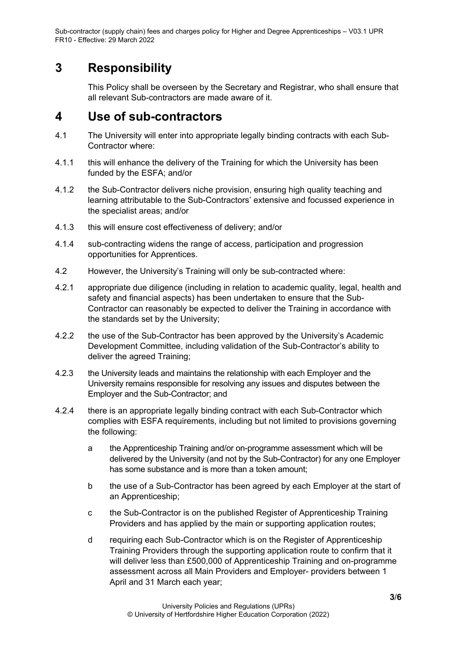Sub-contractor (supply chain) fees and charges policy for Higher and Degree Apprenticeships – V03.1 UPR FR10 - Effective: 29 March 2022

# <span id="page-2-0"></span>**3 Responsibility**

This Policy shall be overseen by the Secretary and Registrar, who shall ensure that all relevant Sub-contractors are made aware of it.

### <span id="page-2-1"></span>**4 Use of sub-contractors**

- 4.1 The University will enter into appropriate legally binding contracts with each Sub-Contractor where:
- 4.1.1 this will enhance the delivery of the Training for which the University has been funded by the ESFA; and/or
- 4.1.2 the Sub-Contractor delivers niche provision, ensuring high quality teaching and learning attributable to the Sub-Contractors' extensive and focussed experience in the specialist areas; and/or
- 4.1.3 this will ensure cost effectiveness of delivery; and/or
- 4.1.4 sub-contracting widens the range of access, participation and progression opportunities for Apprentices.
- 4.2 However, the University's Training will only be sub-contracted where:
- 4.2.1 appropriate due diligence (including in relation to academic quality, legal, health and safety and financial aspects) has been undertaken to ensure that the Sub-Contractor can reasonably be expected to deliver the Training in accordance with the standards set by the University;
- 4.2.2 the use of the Sub-Contractor has been approved by the University's Academic Development Committee, including validation of the Sub-Contractor's ability to deliver the agreed Training;
- 4.2.3 the University leads and maintains the relationship with each Employer and the University remains responsible for resolving any issues and disputes between the Employer and the Sub-Contractor; and
- 4.2.4 there is an appropriate legally binding contract with each Sub-Contractor which complies with ESFA requirements, including but not limited to provisions governing the following:
	- a the Apprenticeship Training and/or on-programme assessment which will be delivered by the University (and not by the Sub-Contractor) for any one Employer has some substance and is more than a token amount;
	- b the use of a Sub-Contractor has been agreed by each Employer at the start of an Apprenticeship;
	- c the Sub-Contractor is on the published Register of Apprenticeship Training Providers and has applied by the main or supporting application routes;
	- d requiring each Sub-Contractor which is on the Register of Apprenticeship Training Providers through the supporting application route to confirm that it will deliver less than £500,000 of Apprenticeship Training and on-programme assessment across all Main Providers and Employer- providers between 1 April and 31 March each year;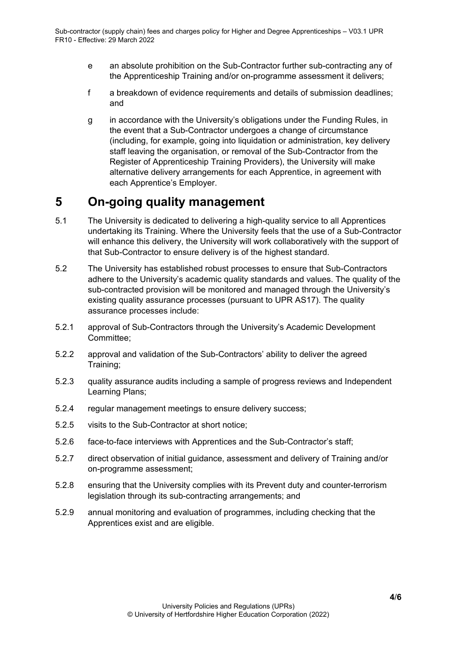- e an absolute prohibition on the Sub-Contractor further sub-contracting any of the Apprenticeship Training and/or on-programme assessment it delivers;
- f a breakdown of evidence requirements and details of submission deadlines; and
- g in accordance with the University's obligations under the Funding Rules, in the event that a Sub-Contractor undergoes a change of circumstance (including, for example, going into liquidation or administration, key delivery staff leaving the organisation, or removal of the Sub-Contractor from the Register of Apprenticeship Training Providers), the University will make alternative delivery arrangements for each Apprentice, in agreement with each Apprentice's Employer.

# <span id="page-3-0"></span>**5 On-going quality management**

- 5.1 The University is dedicated to delivering a high-quality service to all Apprentices undertaking its Training. Where the University feels that the use of a Sub-Contractor will enhance this delivery, the University will work collaboratively with the support of that Sub-Contractor to ensure delivery is of the highest standard.
- 5.2 The University has established robust processes to ensure that Sub-Contractors adhere to the University's academic quality standards and values. The quality of the sub-contracted provision will be monitored and managed through the University's existing quality assurance processes (pursuant to UPR AS17). The quality assurance processes include:
- 5.2.1 approval of Sub-Contractors through the University's Academic Development Committee;
- 5.2.2 approval and validation of the Sub-Contractors' ability to deliver the agreed Training;
- 5.2.3 quality assurance audits including a sample of progress reviews and Independent Learning Plans;
- 5.2.4 regular management meetings to ensure delivery success;
- 5.2.5 visits to the Sub-Contractor at short notice;
- 5.2.6 face-to-face interviews with Apprentices and the Sub-Contractor's staff;
- 5.2.7 direct observation of initial guidance, assessment and delivery of Training and/or on-programme assessment;
- 5.2.8 ensuring that the University complies with its Prevent duty and counter-terrorism legislation through its sub-contracting arrangements; and
- 5.2.9 annual monitoring and evaluation of programmes, including checking that the Apprentices exist and are eligible.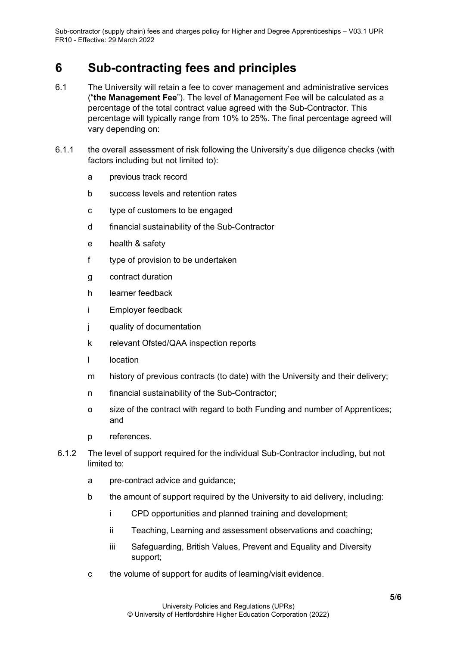# <span id="page-4-0"></span>**6 Sub-contracting fees and principles**

- 6.1 The University will retain a fee to cover management and administrative services ("**the Management Fee**"). The level of Management Fee will be calculated as a percentage of the total contract value agreed with the Sub-Contractor. This percentage will typically range from 10% to 25%. The final percentage agreed will vary depending on:
- 6.1.1 the overall assessment of risk following the University's due diligence checks (with factors including but not limited to):
	- a previous track record
	- b success levels and retention rates
	- c type of customers to be engaged
	- d financial sustainability of the Sub-Contractor
	- e health & safety
	- f type of provision to be undertaken
	- g contract duration
	- h learner feedback
	- i Employer feedback
	- j quality of documentation
	- k relevant Ofsted/QAA inspection reports
	- l location
	- m history of previous contracts (to date) with the University and their delivery;
	- n financial sustainability of the Sub-Contractor;
	- o size of the contract with regard to both Funding and number of Apprentices; and
	- p references.
- 6.1.2 The level of support required for the individual Sub-Contractor including, but not limited to:
	- a pre-contract advice and guidance;
	- b the amount of support required by the University to aid delivery, including:
		- i CPD opportunities and planned training and development;
		- ii Teaching, Learning and assessment observations and coaching;
		- iii Safeguarding, British Values, Prevent and Equality and Diversity support;
	- c the volume of support for audits of learning/visit evidence.